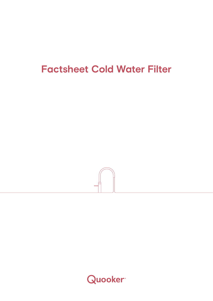## **Factsheet Cold Water Filter**



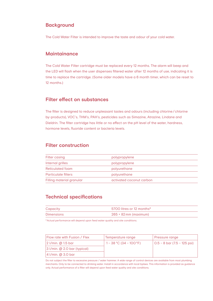### **Background**

The Cold Water Filter is intended to improve the taste and odour of your cold water.

#### **Maintainance**

The Cold Water Filter cartridge must be replaced every 12 months. The alarm will beep and the LED will flash when the user dispenses filtered water after 12 months of use, indicating it is time to replace the cartridge. (Some older models have a 6 month timer, which can be reset to 12 months.)

### **Filter effect on substances**

The filter is designed to reduce unpleasant tastes and odours (including chlorine/chlorine by-products), VOC's, THM's, PAH's, pesticides such as Simazine, Atrazine, Lindane and Dieldrin. The filter cartridge has little or no effect on the pH level of the water, hardness, hormone levels, fluoride content or bacteria levels.

#### **Filter construction**

| <b>Filter casing</b>       | polypropylene            |
|----------------------------|--------------------------|
| Internal grilles           | polypropylene            |
| Reticulated foam           | polyurethane             |
| <b>Particulate filters</b> | polyurethane             |
| Filling material granular  | activated coconut carbon |

### **Technical specifications**

| Capacity   | 5700 litres or 12 months*    |
|------------|------------------------------|
| Dimensions | $265 \times 82$ mm (maximum) |

\*Actual performance will depend upon feed water quality and site conditions.

| Flow rate with Fusion / Flex!                          | Temperature range         | Pressure range              |
|--------------------------------------------------------|---------------------------|-----------------------------|
| 2 I/min. @ 1.5 bar                                     | $1 - 38$ °C (34 – 100 °F) | 0.5 – 8 bar (7.5 – 125 psi) |
| $ 3 \frac{\text{I}}{\text{min}}$ . @ 2.0 bar (typical) |                           |                             |
| 4 I/min. @ 3.0 bar                                     |                           |                             |

Do not subject the filter to excessive pressure / water hammer. A wide range of control devices are available from most plumbing merchants. Only to be connected to drinking water. Install in accordance with local bylaws. This information is provided as guidance only. Actual performance of a filter will depend upon feed water quality and site conditions.